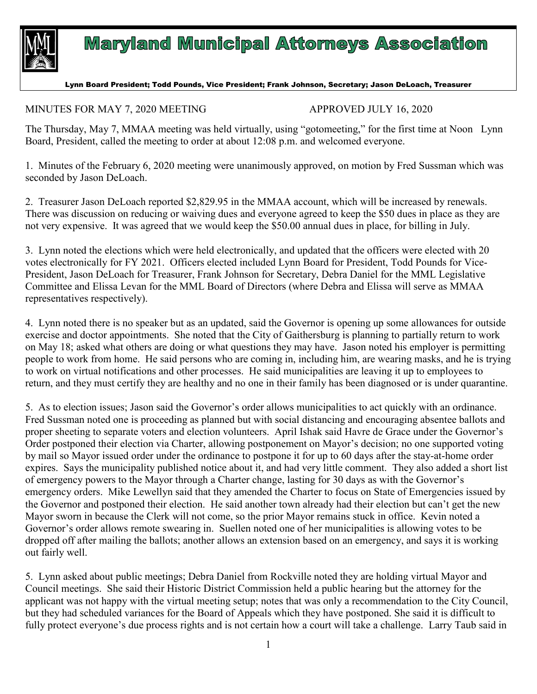

## **Maryland Municipal Attorneys Association**

## Lynn Board President; Todd Pounds, Vice President; Frank Johnson, Secretary; Jason DeLoach, Treasurer

## MINUTES FOR MAY 7, 2020 MEETING APPROVED JULY 16, 2020

The Thursday, May 7, MMAA meeting was held virtually, using "gotomeeting," for the first time at Noon Lynn Board, President, called the meeting to order at about 12:08 p.m. and welcomed everyone.

1. Minutes of the February 6, 2020 meeting were unanimously approved, on motion by Fred Sussman which was seconded by Jason DeLoach.

2. Treasurer Jason DeLoach reported \$2,829.95 in the MMAA account, which will be increased by renewals. There was discussion on reducing or waiving dues and everyone agreed to keep the \$50 dues in place as they are not very expensive. It was agreed that we would keep the \$50.00 annual dues in place, for billing in July.

3. Lynn noted the elections which were held electronically, and updated that the officers were elected with 20 votes electronically for FY 2021. Officers elected included Lynn Board for President, Todd Pounds for Vice-President, Jason DeLoach for Treasurer, Frank Johnson for Secretary, Debra Daniel for the MML Legislative Committee and Elissa Levan for the MML Board of Directors (where Debra and Elissa will serve as MMAA representatives respectively).

4. Lynn noted there is no speaker but as an updated, said the Governor is opening up some allowances for outside exercise and doctor appointments. She noted that the City of Gaithersburg is planning to partially return to work on May 18; asked what others are doing or what questions they may have. Jason noted his employer is permitting people to work from home. He said persons who are coming in, including him, are wearing masks, and he is trying to work on virtual notifications and other processes. He said municipalities are leaving it up to employees to return, and they must certify they are healthy and no one in their family has been diagnosed or is under quarantine.

5. As to election issues; Jason said the Governor's order allows municipalities to act quickly with an ordinance. Fred Sussman noted one is proceeding as planned but with social distancing and encouraging absentee ballots and proper sheeting to separate voters and election volunteers. April Ishak said Havre de Grace under the Governor's Order postponed their election via Charter, allowing postponement on Mayor's decision; no one supported voting by mail so Mayor issued order under the ordinance to postpone it for up to 60 days after the stay-at-home order expires. Says the municipality published notice about it, and had very little comment. They also added a short list of emergency powers to the Mayor through a Charter change, lasting for 30 days as with the Governor's emergency orders. Mike Lewellyn said that they amended the Charter to focus on State of Emergencies issued by the Governor and postponed their election. He said another town already had their election but can't get the new Mayor sworn in because the Clerk will not come, so the prior Mayor remains stuck in office. Kevin noted a Governor's order allows remote swearing in. Suellen noted one of her municipalities is allowing votes to be dropped off after mailing the ballots; another allows an extension based on an emergency, and says it is working out fairly well.

5. Lynn asked about public meetings; Debra Daniel from Rockville noted they are holding virtual Mayor and Council meetings. She said their Historic District Commission held a public hearing but the attorney for the applicant was not happy with the virtual meeting setup; notes that was only a recommendation to the City Council, but they had scheduled variances for the Board of Appeals which they have postponed. She said it is difficult to fully protect everyone's due process rights and is not certain how a court will take a challenge. Larry Taub said in